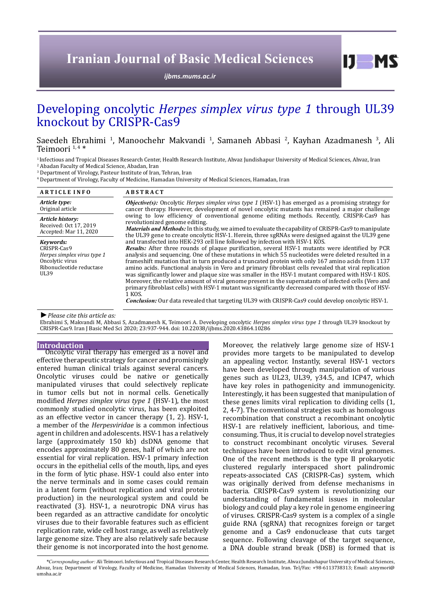# **Iranian Journal of Basic Medical Sciences**

*[ijbms.mums.ac.ir](http://ijbms.mums.ac.ir)*

# Developing oncolytic *Herpes simplex virus type 1* through UL39 knockout by CRISPR-Cas9

Saeedeh Ebrahimi <sup>1</sup>, Manoochehr Makvandi <sup>1</sup>, Samaneh Abbasi <sup>2</sup>, Kayhan Azadmanesh <sup>3</sup>, Ali Teimoori  $1, 4$  \*

<sup>1</sup> Infectious and Tropical Diseases Research Center, Health Research Institute, Ahvaz Jundishapur University of Medical Sciences, Ahvaz, Iran

2 Abadan Faculty of Medical Science, Abadan, Iran

3 Department of Virology, Pasteur Institute of Iran, Tehran, Iran 4 Department of Virology, Faculty of Medicine, Hamadan University of Medical Sciences, Hamadan, Iran

| <b>ARTICLE INFO</b>                                                                                            | <b>ABSTRACT</b>                                                                                                                                                                                                                                                                                                                                                                                                                                                                                                                                                                                                                                                                                                                                                                                                                                                                                                                         |  |
|----------------------------------------------------------------------------------------------------------------|-----------------------------------------------------------------------------------------------------------------------------------------------------------------------------------------------------------------------------------------------------------------------------------------------------------------------------------------------------------------------------------------------------------------------------------------------------------------------------------------------------------------------------------------------------------------------------------------------------------------------------------------------------------------------------------------------------------------------------------------------------------------------------------------------------------------------------------------------------------------------------------------------------------------------------------------|--|
| Article type:<br>Original article                                                                              | <b>Objective(s):</b> Oncolytic Herpes simplex virus type 1 (HSV-1) has emerged as a promising strategy for<br>cancer therapy. However, development of novel oncolytic mutants has remained a major challenge<br>owing to low efficiency of conventional genome editing methods. Recently, CRISPR-Cas9 has<br>revolutionized genome editing.<br><i>Materials and Methods:</i> In this study, we aimed to evaluate the capability of CRISPR-Cas9 to manipulate<br>the UL39 gene to create oncolytic HSV-1. Herein, three sgRNAs were designed against the UL39 gene                                                                                                                                                                                                                                                                                                                                                                       |  |
| Article history:<br>Received: Oct 17, 2019<br>Accepted: Mar 11, 2020                                           |                                                                                                                                                                                                                                                                                                                                                                                                                                                                                                                                                                                                                                                                                                                                                                                                                                                                                                                                         |  |
| Kevwords:<br>CRISPR-Cas9<br>Herpes simplex virus type 1<br>Oncolytic virus<br>Ribonucleotide reductase<br>UL39 | and transfected into HEK-293 cell line followed by infection with HSV-1 KOS.<br>Results: After three rounds of plaque purification, several HSV-1 mutants were identified by PCR<br>analysis and sequencing. One of these mutations in which 55 nucleotides were deleted resulted in a<br>frameshift mutation that in turn produced a truncated protein with only 167 amino acids from 1137<br>amino acids. Functional analysis in Vero and primary fibroblast cells revealed that viral replication<br>was significantly lower and plaque size was smaller in the HSV-1 mutant compared with HSV-1 KOS.<br>Moreover, the relative amount of viral genome present in the supernatants of infected cells (Vero and<br>primary fibroblast cells) with HSV-1 mutant was significantly decreased compared with those of HSV-<br>1 KOS.<br>Conclusion: Our data revealed that targeting UL39 with CRISPR-Cas9 could develop oncolytic HSV-1. |  |

*►Please cite this article as:*

Ebrahimi S, Makvandi M, Abbasi S, Azadmanesh K, Teimoori A. Developing oncolytic *Herpes simplex virus type 1* through UL39 knockout by CRISPR-Cas9. Iran J Basic Med Sci 2020; 23:937-944. doi: 10.22038/ijbms.2020.43864.10286

## **Introduction**

Oncolytic viral therapy has emerged as a novel and effective therapeutic strategy for cancer and promisingly entered human clinical trials against several cancers. Oncolytic viruses could be native or genetically manipulated viruses that could selectively replicate in tumor cells but not in normal cells. Genetically modified *Herpes simplex virus type 1* (HSV-1), the most commonly studied oncolytic virus, has been exploited as an effective vector in cancer therapy (1, 2). HSV-1, a member of the *Herpesviridae* is a common infectious agent in children and adolescents. HSV-1 has a relatively large (approximately 150 kb) dsDNA genome that encodes approximately 80 genes, half of which are not essential for viral replication. HSV-1 primary infection occurs in the epithelial cells of the mouth, lips, and eyes in the form of lytic phase. HSV-1 could also enter into the nerve terminals and in some cases could remain in a latent form (without replication and viral protein production) in the neurological system and could be reactivated (3). HSV-1, a neurotropic DNA virus has been regarded as an attractive candidate for oncolytic viruses due to their favorable features such as efficient replication rate, wide cell host range, as well as relatively large genome size. They are also relatively safe because their genome is not incorporated into the host genome.

Moreover, the relatively large genome size of HSV-1 provides more targets to be manipulated to develop an appealing vector. Instantly, several HSV-1 vectors have been developed through manipulation of various genes such as UL23, UL39,  $γ34.5$ , and ICP47, which have key roles in pathogenicity and immunogenicity. Interestingly, it has been suggested that manipulation of these genes limits viral replication to dividing cells (1, 2, 4-7). The conventional strategies such as homologous recombination that construct a recombinant oncolytic HSV-1 are relatively inefficient, laborious, and timeconsuming. Thus, it is crucial to develop novel strategies to construct recombinant oncolytic viruses. Several techniques have been introduced to edit viral genomes. One of the recent methods is the type II prokaryotic clustered regularly interspaced short palindromic repeats-associated CAS (CRISPR-Cas) system, which was originally derived from defense mechanisms in bacteria. CRISPR-Cas9 system is revolutionizing our understanding of fundamental issues in molecular biology and could play a key role in genome engineering of viruses. CRISPR-Cas9 system is a complex of a single guide RNA (sgRNA) that recognizes foreign or target genome and a Cas9 endonuclease that cuts target sequence. Following cleavage of the target sequence, a DNA double strand break (DSB) is formed that is

 $I$   $I$   $M$   $S$ 

*\*Corresponding author:* Ali Teimoori. Infectious and Tropical Diseases Research Center, Health Research Institute, Ahvaz Jundishapur University of Medical Sciences, Ahvaz, Iran; Department of Virology, Faculty of Medicine, Hamadan University of Medical Sciences, Hamadan, Iran. Tel/Fax: +98-6113738313; Email: a.teymori@ umsha.ac.ir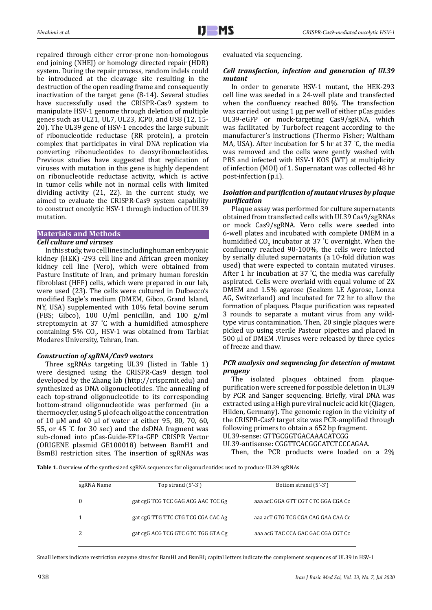repaired through either error-prone non-homologous end joining (NHEJ) or homology directed repair (HDR) system. During the repair process, random indels could be introduced at the cleavage site resulting in the destruction of the open reading frame and consequently inactivation of the target gene (8-14). Several studies have successfully used the CRISPR-Cas9 system to manipulate HSV-1 genome through deletion of multiple genes such as UL21, UL7, UL23, ICP0, and US8 (12, 15- 20). The UL39 gene of HSV-1 encodes the large subunit of ribonucleotide reductase (RR protein), a protein complex that participates in viral DNA replication via converting ribonucleotides to deoxyribonucleotides. Previous studies have suggested that replication of viruses with mutation in this gene is highly dependent on ribonucleotide reductase activity, which is active in tumor cells while not in normal cells with limited dividing activity (21, 22). In the current study, we aimed to evaluate the CRISPR-Cas9 system capability to construct oncolytic HSV-1 through induction of UL39 mutation.

# **Materials and Methods**

# *Cell culture and viruses*

In this study, two cell lines including human embryonic kidney (HEK) -293 cell line and African green monkey kidney cell line (Vero), which were obtained from Pasture Institute of Iran, and primary human foreskin fibroblast (HFF) cells, which were prepared in our lab, were used (23). The cells were cultured in Dulbecco's modified Eagle's medium (DMEM, Gibco, Grand Island, NY, USA) supplemented with 10% fetal bovine serum (FBS; Gibco), 100 U/ml penicillin, and 100 g/ml streptomycin at 37 ° C with a humidified atmosphere containing 5%  $CO<sub>2</sub>$ . HSV-1 was obtained from Tarbiat Modares University, Tehran, Iran.

## *Construction of sgRNA/Cas9 vectors*

Three sgRNAs targeting UL39 (listed in Table 1) were designed using the CRISPR-Cas9 design tool developed by the Zhang lab (<http://crispr.mit.edu>) and synthesized as DNA oligonucleotides. The annealing of each top-strand oligonucleotide to its corresponding bottom-strand oligonucleotide was performed (in a thermocycler, using 5 μl of each oligo at the concentration of 10 µM and 40 μl of water at either 95, 80, 70, 60, 55, or 45 ° C for 30 sec) and the dsDNA fragment was sub-cloned into pCas-Guide-EF1a-GFP CRISPR Vector (ORIGENE plasmid GE100018) between BamH1 and BsmBI restriction sites. The insertion of sgRNAs was

evaluated via sequencing.

## *Cell transfection, infection and generation of UL39 mutant*

In order to generate HSV-1 mutant, the HEK-293 cell line was seeded in a 24-well plate and transfected when the confluency reached 80%. The transfection was carried out using 1 μg per well of either pCas guides UL39-eGFP or mock-targeting Cas9/sgRNA, which was facilitated by Turbofect reagent according to the manufacturer's instructions (Thermo Fisher; Waltham MA, USA). After incubation for 5 hr at 37 ° C, the media was removed and the cells were gently washed with PBS and infected with HSV-1 KOS (WT) at multiplicity of infection (MOI) of 1. Supernatant was collected 48 hr post-infection (p.i.).

# *Isolation and purification of mutant viruses by plaque purification*

Plaque assay was performed for culture supernatants obtained from transfected cells with UL39 Cas9/sgRNAs or mock Cas9/sgRNA. Vero cells were seeded into 6-well plates and incubated with complete DMEM in a humidified  $CO<sub>2</sub>$  incubator at 37 °C overnight. When the confluency reached 90-100%, the cells were infected by serially diluted supernatants (a 10-fold dilution was used) that were expected to contain mutated viruses. After 1 hr incubation at 37 ° C, the media was carefully aspirated. Cells were overlaid with equal volume of 2X DMEM and 1.5% agarose (Seakem LE Agarose, Lonza AG, Switzerland) and incubated for 72 hr to allow the formation of plaques. Plaque purification was repeated 3 rounds to separate a mutant virus from any wildtype virus contamination. Then, 20 single plaques were picked up using sterile Pasteur pipettes and placed in 500 µl of DMEM .Viruses were released by three cycles of freeze and thaw.

## *PCR analysis and sequencing for detection of mutant progeny*

The isolated plaques obtained from plaquepurification were screened for possible deletion in UL39 by PCR and Sanger sequencing. Briefly, viral DNA was extracted using a High pure viral nucleic acid kit (Qiagen, Hilden, Germany). The genomic region in the vicinity of the CRISPR-Cas9 target site was PCR-amplified through following primers to obtain a 652 bp fragment. UL39-sense: GTTGCGGTGACAAACATCGG

UL39-antisense: CGGTTCACGGCATCTCCCAGAA.

Then, the PCR products were loaded on a 2%

Table 1. Overview of the synthesized sgRNA sequences for oligonucleotides used to produce UL39 sgRNAs

| sgRNA Name | Top strand $(5'-3')$               | Bottom strand (5'-3')              |
|------------|------------------------------------|------------------------------------|
|            | gat cgG TCG TCC GAG ACG AAC TCC Gg | aaa acC GGA GTT CGT CTC GGA CGA Cc |
|            | gat cgG TTG TTC CTG TCG CGA CAC Ag | aaa acT GTG TCG CGA CAG GAA CAA Cc |
|            | gat cgG ACG TCG GTC GTC TGG GTA Cg | aaa acG TAC CCA GAC GAC CGA CGT Cc |

Small letters indicate restriction enzyme sites for BamHI and BsmBI; capital letters indicate the complement sequences of UL39 in HSV-1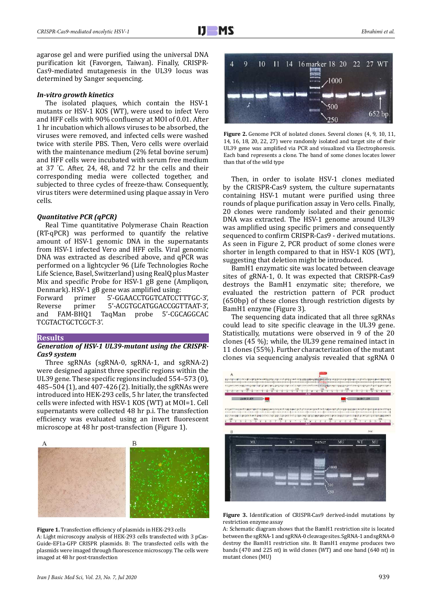agarose gel and were purified using the universal DNA purification kit (Favorgen, Taiwan). Finally, CRISPR-Cas9-mediated mutagenesis in the UL39 locus was determined by Sanger sequencing.

#### *In-vitro growth kinetics*

The isolated plaques, which contain the HSV-1 mutants or HSV-1 KOS (WT), were used to infect Vero and HFF cells with 90% confluency at MOI of 0.01. After 1 hr incubation which allows viruses to be absorbed, the viruses were removed, and infected cells were washed twice with sterile PBS. Then, Vero cells were overlaid with the maintenance medium (2% fetal bovine serum) and HFF cells were incubated with serum free medium at 37 ° C. After, 24, 48, and 72 hr the cells and their corresponding media were collected together, and subjected to three cycles of freeze-thaw. Consequently, virus titers were determined using plaque assay in Vero cells.

#### *Quantitative PCR (qPCR)*

Real Time quantitative Polymerase Chain Reaction (RT-qPCR) was performed to quantify the relative amount of HSV-1 genomic DNA in the supernatants from HSV-1 infected Vero and HFF cells. Viral genomic DNA was extracted as described above, and qPCR was performed on a lightcycler 96 (Life Technologies Roche Life Science, Basel, Switzerland) using RealQ plus Master Mix and specific Probe for HSV-1 gB gene (Ampliqon,

Denmark). HSV-1 gB gene was amplified using: Forward primer 5'-GGAACCTGGTCATCCTTTGC-3',<br>Reverse primer 5'-ACGTGCATGGACCGGTTAAT-3'. Reverse primer 5'-ACGTGCATGGACCGGTTAAT-3',<br>and FAM-BHO1 TagMan probe 5'-CGCAGGCAC TaqMan probe 5'-CGCAGGCAC TCGTACTGCTCGCT-3'.

## **Results**

## *Generation of HSV-1 UL39-mutant using the CRISPR-Cas9 system*

Three sgRNAs (sgRNA-0, sgRNA-1, and sgRNA-2) were designed against three specific regions within the UL39 gene. These specific regions included 554–573 (0), 485–504 (1), and 407-426 (2). Initially, the sgRNAs were introduced into HEK-293 cells, 5 hr later, the transfected cells were infected with HSV-1 KOS (WT) at MOI=1. Cell supernatants were collected 48 hr p.i. The transfection efficiency was evaluated using an invert fluorescent microscope at 48 hr post-transfection (Figure 1).







**Figure 2.** Genome PCR of isolated clones. Several clones (4, 9, 10, 11, 14, 16, 18, 20, 22, 27) were randomly isolated and target site of their UL39 gene was amplified via PCR and visualized via Electrophoresis. Each band represents a clone. The band of some clones locates lower than that of the wild type

Then, in order to isolate HSV-1 clones mediated by the CRISPR-Cas9 system, the culture supernatants containing HSV-1 mutant were purified using three rounds of plaque purification assay in Vero cells. Finally, 20 clones were randomly isolated and their genomic DNA was extracted. The HSV-1 genome around UL39 was amplified using specific primers and consequently sequenced to confirm CRISPR-Cas9 - derived mutations. As seen in Figure 2, PCR product of some clones were shorter in length compared to that in HSV-1 KOS (WT), suggesting that deletion might be introduced.

BamH1 enzymatic site was located between cleavage sites of gRNA-1, 0. It was expected that CRISPR-Cas9 destroys the BamH1 enzymatic site; therefore, we evaluated the restriction pattern of PCR product (650bp) of these clones through restriction digests by BamH1 enzyme (Figure 3).

The sequencing data indicated that all three sgRNAs could lead to site specific cleavage in the UL39 gene. Statistically, mutations were observed in 9 of the 20 clones (45 %); while, the UL39 gene remained intact in 11 clones (55%). Further characterization of the mutant clones via sequencing analysis revealed that sgRNA 0



**Figure 3.** Identification of CRISPR-Cas9 derived-indel mutations by restriction enzyme assay

A: Schematic diagram shows that the BamH1 restriction site is located between the sgRNA-1 and sgRNA-0 cleavage sites. SgRNA-1 and sgRNA-0 destroy the BamH1 restriction site. B: BamH1 enzyme produces two bands (470 and 225 nt) in wild clones (WT) and one band (640 nt) in mutant clones (MU)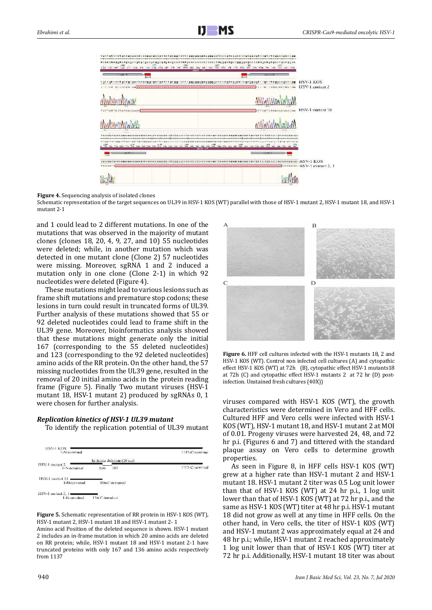

#### **Figure 4.** Sequencing analysis of isolated clones

Schematic representation of the target sequences on UL39 in HSV-1 KOS (WT) parallel with those of HSV-1 mutant 2, HSV-1 mutant 18, and HSV-1 mutant 2-1

and 1 could lead to 2 different mutations. In one of the mutations that was observed in the majority of mutant clones (clones 18, 20, 4, 9, 27, and 10) 55 nucleotides were deleted; while, in another mutation which was detected in one mutant clone (Clone 2) 57 nucleotides were missing. Moreover, sgRNA 1 and 2 induced a mutation only in one clone (Clone 2-1) in which 92 nucleotides were deleted (Figure 4).

These mutations might lead to various lesions such as frame shift mutations and premature stop codons; these lesions in turn could result in truncated forms of UL39. Further analysis of these mutations showed that 55 or 92 deleted nucleotides could lead to frame shift in the UL39 gene. Moreover, bioinformatics analysis showed that these mutations might generate only the initial 167 (corresponding to the 55 deleted nucleotides) and 123 (corresponding to the 92 deleted nucleotides) amino acids of the RR protein. On the other hand, the 57 missing nucleotides from the UL39 gene, resulted in the removal of 20 initial amino acids in the protein reading frame (Figure 5). Finally Two mutant viruses (HSV-1 mutant 18, HSV-1 mutant 2) produced by sgRNAs 0, 1 were chosen for further analysis.

#### *Replication kinetics of HSV-1 UL39 mutant*

To identify the replication potential of UL39 mutant



**Figure 5.** Schematic representation of RR protein in HSV-1 KOS (WT), HSV-1 mutant 2, HSV-1 mutant 18 and HSV-1 mutant 2- 1

Amino acid Position of the deleted sequence is shown. HSV-1 mutant 2 includes an in-frame mutation in which 20 amino acids are deleted on RR protein; while, HSV-1 mutant 18 and HSV-1 mutant 2-1 have truncated proteins with only 167 and 136 amino acids respectively from 1137



**Figure 6.** HFF cell cultures infected with the HSV-1 mutants 18, 2 and HSV-1 KOS (WT). Control non infected cell cultures (A) and cytopathic effect HSV-1 KOS (WT) at 72h (B), cytopathic effect HSV-1 mutants18 at 72h (C) and cytopathic effect HSV-1 mutants 2 at 72 hr (D) postinfection. Unstained fresh cultures (40X))

viruses compared with HSV-1 KOS (WT), the growth characteristics were determined in Vero and HFF cells. Cultured HFF and Vero cells were infected with HSV-1 KOS (WT), HSV-1 mutant 18, and HSV-1 mutant 2 at MOI of 0.01. Progeny viruses were harvested 24, 48, and 72 hr p.i. (Figures 6 and 7) and tittered with the standard plaque assay on Vero cells to determine growth properties.

As seen in Figure 8, in HFF cells HSV-1 KOS (WT) grew at a higher rate than HSV-1 mutant 2 and HSV-1 mutant 18. HSV-1 mutant 2 titer was 0.5 Log unit lower than that of HSV-1 KOS (WT) at 24 hr p.i., 1 log unit lower than that of HSV-1 KOS (WT) at 72 hr p.i., and the same as HSV-1 KOS (WT) titer at 48 hr p.i. HSV-1 mutant 18 did not grow as well at any time in HFF cells. On the other hand, in Vero cells, the titer of HSV-1 KOS (WT) and HSV-1 mutant 2 was approximately equal at 24 and 48 hr p.i.; while, HSV-1 mutant 2 reached approximately 1 log unit lower than that of HSV-1 KOS (WT) titer at 72 hr p.i. Additionally, HSV-1 mutant 18 titer was about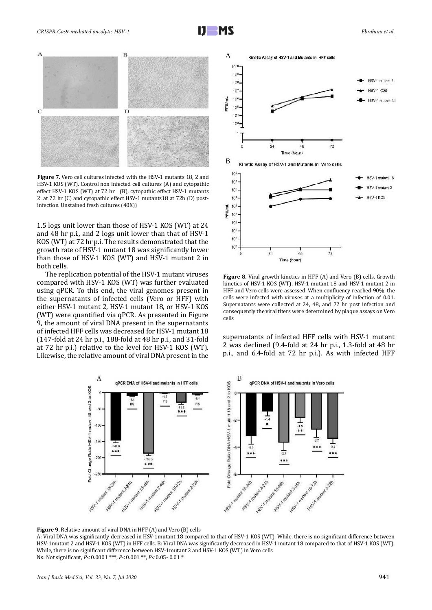

**Figure 7.** Vero cell cultures infected with the HSV-1 mutants 18, 2 and HSV-1 KOS (WT). Control non infected cell cultures (A) and cytopathic effect HSV-1 KOS (WT) at 72 hr (B), cytopathic effect HSV-1 mutants 2 at 72 hr (C) and cytopathic effect HSV-1 mutants18 at 72h (D) postinfection. Unstained fresh cultures (40X))

1.5 logs unit lower than those of HSV-1 KOS (WT) at 24 and 48 hr p.i., and 2 logs unit lower than that of HSV-1 KOS (WT) at 72 hr p.i. The results demonstrated that the growth rate of HSV-1 mutant 18 was significantly lower than those of HSV-1 KOS (WT) and HSV-1 mutant 2 in both cells.

The replication potential of the HSV-1 mutant viruses compared with HSV-1 KOS (WT) was further evaluated using qPCR. To this end, the viral genomes present in the supernatants of infected cells (Vero or HFF) with either HSV-1 mutant 2, HSV-1 mutant 18, or HSV-1 KOS (WT) were quantified via qPCR. As presented in Figure 9, the amount of viral DNA present in the supernatants of infected HFF cells was decreased for HSV-1 mutant 18 (147-fold at 24 hr p.i., 188-fold at 48 hr p.i., and 31-fold at 72 hr p.i.) relative to the level for HSV-1 KOS (WT). Likewise, the relative amount of viral DNA present in the



**Figure 8.** Viral growth kinetics in HFF (A) and Vero (B) cells. Growth kinetics of HSV-1 KOS (WT), HSV-1 mutant 18 and HSV-1 mutant 2 in HFF and Vero cells were assessed. When confluency reached 90%, the cells were infected with viruses at a multiplicity of infection of 0.01. Supernatants were collected at 24, 48, and 72 hr post infection and consequently the viral titers were determined by plaque assays on Vero cells

supernatants of infected HFF cells with HSV-1 mutant 2 was declined (9.4-fold at 24 hr p.i., 1.3-fold at 48 hr p.i., and 6.4-fold at 72 hr p.i.). As with infected HFF



**Figure 9.** Relative amount of viral DNA in HFF (A) and Vero (B) cells

A: Viral DNA was significantly decreased in HSV-1mutant 18 compared to that of HSV-1 KOS (WT). While, there is no significant difference between HSV-1mutant 2 and HSV-1 KOS (WT) in HFF cells. B: Viral DNA was significantly decreased in HSV-1 mutant 18 compared to that of HSV-1 KOS (WT). While, there is no significant difference between HSV-1mutant 2 and HSV-1 KOS (WT) in Vero cells Ns: Not significant, *P<* 0.0001 \*\*\*, *P<* 0.001 \*\*, *P<* 0.05- 0.01 \*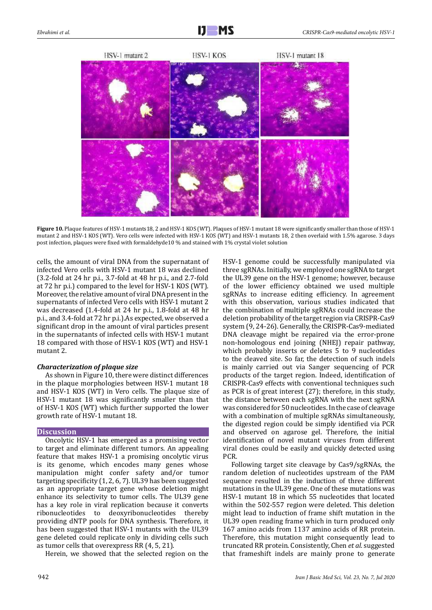

**Figure 10.** Plaque features of HSV-1 mutants18, 2 and HSV-1 KOS (WT). Plaques of HSV-1 mutant 18 were significantly smaller than those of HSV-1 mutant 2 and HSV-1 KOS (WT). Vero cells were infected with HSV-1 KOS (WT) and HSV-1 mutants 18, 2 then overlaid with 1.5% agarose. 3 days post infection, plaques were fixed with formaldehyde10 % and stained with 1% crystal violet solution

cells, the amount of viral DNA from the supernatant of infected Vero cells with HSV-1 mutant 18 was declined (3.2-fold at 24 hr p.i., 3.7-fold at 48 hr p.i., and 2.7-fold at 72 hr p.i.) compared to the level for HSV-1 KOS (WT). Moreover, the relative amount of viral DNA present in the supernatants of infected Vero cells with HSV-1 mutant 2 was decreased (1.4-fold at 24 hr p.i., 1.8-fold at 48 hr p.i., and 3.4-fold at 72 hr p.i.).As expected, we observed a significant drop in the amount of viral particles present in the supernatants of infected cells with HSV-1 mutant 18 compared with those of HSV-1 KOS (WT) and HSV-1 mutant 2.

## *Characterization of plaque size*

As shown in Figure 10, there were distinct differences in the plaque morphologies between HSV-1 mutant 18 and HSV-1 KOS (WT) in Vero cells. The plaque size of HSV-1 mutant 18 was significantly smaller than that of HSV-1 KOS (WT) which further supported the lower growth rate of HSV-1 mutant 18.

## **Discussion**

Oncolytic HSV-1 has emerged as a promising vector to target and eliminate different tumors. An appealing feature that makes HSV-1 a promising oncolytic virus is its genome, which encodes many genes whose manipulation might confer safety and/or tumor targeting specificity (1, 2, 6, 7). UL39 has been suggested as an appropriate target gene whose deletion might enhance its selectivity to tumor cells. The UL39 gene has a key role in viral replication because it converts ribonucleotides to deoxyribonucleotides thereby providing dNTP pools for DNA synthesis. Therefore, it has been suggested that HSV-1 mutants with the UL39 gene deleted could replicate only in dividing cells such as tumor cells that overexpress RR (4, 5, 21).

Herein, we showed that the selected region on the

HSV-1 genome could be successfully manipulated via three sgRNAs. Initially, we employed one sgRNA to target the UL39 gene on the HSV-1 genome; however, because of the lower efficiency obtained we used multiple sgRNAs to increase editing efficiency. In agreement with this observation, various studies indicated that the combination of multiple sgRNAs could increase the deletion probability of the target region via CRISPR-Cas9 system (9, 24-26). Generally, the CRISPR-Cas9-mediated DNA cleavage might be repaired via the error-prone non-homologous end joining (NHEJ) repair pathway, which probably inserts or deletes 5 to 9 nucleotides to the cleaved site. So far, the detection of such indels is mainly carried out via Sanger sequencing of PCR products of the target region. Indeed, identification of CRISPR-Cas9 effects with conventional techniques such as PCR is of great interest (27); therefore, in this study, the distance between each sgRNA with the next sgRNA was considered for 50 nucleotides. In the case of cleavage with a combination of multiple sgRNAs simultaneously, the digested region could be simply identified via PCR and observed on agarose gel. Therefore, the initial identification of novel mutant viruses from different viral clones could be easily and quickly detected using PCR.

Following target site cleavage by Cas9/sgRNAs, the random deletion of nucleotides upstream of the PAM sequence resulted in the induction of three different mutations in the UL39 gene. One of these mutations was HSV-1 mutant 18 in which 55 nucleotides that located within the 502-557 region were deleted. This deletion might lead to induction of frame shift mutation in the UL39 open reading frame which in turn produced only 167 amino acids from 1137 amino acids of RR protein. Therefore, this mutation might consequently lead to truncated RR protein. Consistently, Chen *et al.* suggested that frameshift indels are mainly prone to generate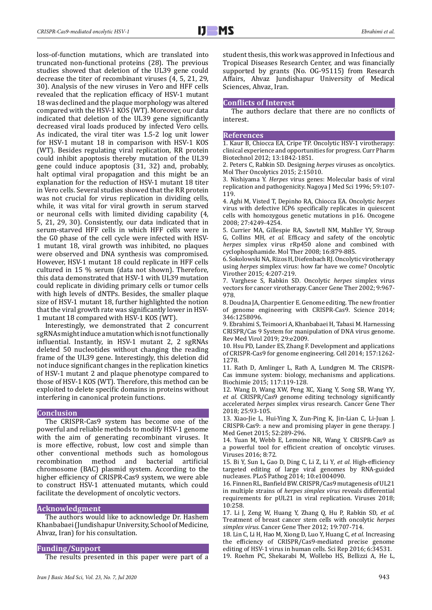loss-of-function mutations, which are translated into truncated non-functional proteins (28). The previous studies showed that deletion of the UL39 gene could decrease the titer of recombinant viruses (4, 5, 21, 29, 30). Analysis of the new viruses in Vero and HFF cells revealed that the replication efficacy of HSV-1 mutant 18 was declined and the plaque morphology was altered compared with the HSV-1 KOS (WT). Moreover, our data indicated that deletion of the UL39 gene significantly decreased viral loads produced by infected Vero cells. As indicated, the viral titer was 1.5-2 log unit lower for HSV-1 mutant 18 in comparison with HSV-1 KOS (WT). Besides regulating viral replication, RR protein could inhibit apoptosis thereby mutation of the UL39 gene could induce apoptosis (31, 32) and, probably, halt optimal viral propagation and this might be an explanation for the reduction of HSV-1 mutant 18 titer in Vero cells. Several studies showed that the RR protein was not crucial for virus replication in dividing cells, while, it was vital for viral growth in serum starved or neuronal cells with limited dividing capability (4, 5, 21, 29, 30). Consistently, our data indicated that in serum-starved HFF cells in which HFF cells were in the G0 phase of the cell cycle were infected with HSV-1 mutant 18, viral growth was inhibited, no plaques were observed and DNA synthesis was compromised. However, HSV-1 mutant 18 could replicate in HFF cells cultured in 15 % serum (data not shown). Therefore, this data demonstrated that HSV-1 with UL39 mutation could replicate in dividing primary cells or tumor cells with high levels of dNTPs. Besides, the smaller plaque size of HSV-1 mutant 18, further highlighted the notion that the viral growth rate was significantly lower in HSV-1 mutant 18 compared with HSV-1 KOS (WT).

Interestingly, we demonstrated that 2 concurrent sgRNAs might induce a mutation which is not functionally influential. Instantly, in HSV-1 mutant 2, 2 sgRNAs deleted 50 nucleotides without changing the reading frame of the UL39 gene. Interestingly, this deletion did not induce significant changes in the replication kinetics of HSV-1 mutant 2 and plaque phenotype compared to those of HSV-1 KOS (WT). Therefore, this method can be exploited to delete specific domains in proteins without interfering in canonical protein functions.

#### **Conclusion**

The CRISPR-Cas9 system has become one of the powerful and reliable methods to modify HSV-1 genome with the aim of generating recombinant viruses. It is more effective, robust, low cost and simple than other conventional methods such as homologous<br>recombination method and bacterial artificial recombination chromosome (BAC) plasmid system. According to the higher efficiency of CRISPR-Cas9 system, we were able to construct HSV-1 attenuated mutants, which could facilitate the development of oncolytic vectors.

#### **Acknowledgment**

The authors would like to acknowledge Dr. Hashem Khanbabaei (Jundishapur University, School of Medicine, Ahvaz, Iran) for his consultation.

#### **Funding/Support**

The results presented in this paper were part of a

student thesis, this work was approved in Infectious and Tropical Diseases Research Center, and was financially supported by grants (No. OG-95115) from Research Affairs, Ahvaz Jundishapur University of Medical Sciences, Ahvaz, Iran.

#### **Conflicts of Interest**

The authors declare that there are no conflicts of interest.

#### **References**

1. Kaur B, Chiocca EA, Cripe TP. Oncolytic HSV-1 virotherapy: clinical experience and opportunities for progress. Curr Pharm Biotechnol 2012; 13:1842-1851.

2. Peters C, Rabkin SD. Designing *herpes* viruses as oncolytics. Mol Ther Oncolytics 2015; 2:15010.

3. Nishiyama Y. *Herpes* virus genes: Molecular basis of viral replication and pathogenicity. Nagoya J Med Sci 1996; 59:107- 119.

4. Aghi M, Visted T, Depinho RA, Chiocca EA. Oncolytic *herpes* virus with defective ICP6 specifically replicates in quiescent cells with homozygous genetic mutations in p16. Oncogene 2008; 27:4249-4254.

5. Currier MA, Gillespie RA, Sawtell NM, Mahller YY, Stroup G, Collins MH*, et al.* Efficacy and safety of the oncolytic *herpes* simplex virus rRp450 alone and combined with cyclophosphamide. Mol Ther 2008; 16:879-885.

6. Sokolowski NA, Rizos H, Diefenbach RJ. Oncolytic virotherapy using *herpes* simplex virus: how far have we come? Oncolytic Virother 2015; 4:207-219.

7. Varghese S, Rabkin SD. Oncolytic *herpes* simplex virus vectors for cancer virotherapy. Cancer Gene Ther 2002; 9:967- 978.

8. Doudna JA, Charpentier E. Genome editing. The new frontier of genome engineering with CRISPR-Cas9. Science 2014; 346:1258096.

9. Ebrahimi S, Teimoori A, Khanbabaei H, Tabasi M. Harnessing CRISPR/Cas 9 System for manipulation of DNA virus genome. Rev Med Virol 2019; 29:e2009.

10. Hsu PD, Lander ES, Zhang F. Development and applications of CRISPR-Cas9 for genome engineering. Cell 2014; 157:1262- 1278.

11. Rath D, Amlinger L, Rath A, Lundgren M. The CRISPR-Cas immune system: biology, mechanisms and applications. Biochimie 2015; 117:119-128.

12. Wang D, Wang XW, Peng XC, Xiang Y, Song SB, Wang YY*, et al.* CRISPR/Cas9 genome editing technology significantly accelerated *herpes* simplex virus research. Cancer Gene Ther 2018; 25:93-105.

13. Xiao-Jie L, Hui-Ying X, Zun-Ping K, Jin-Lian C, Li-Juan J. CRISPR-Cas9: a new and promising player in gene therapy. J Med Genet 2015; 52:289-296.

14. Yuan M, Webb E, Lemoine NR, Wang Y. CRISPR-Cas9 as a powerful tool for efficient creation of oncolytic viruses. Viruses 2016; 8:72.

15. Bi Y, Sun L, Gao D, Ding C, Li Z, Li Y*, et al.* High-efficiency targeted editing of large viral genomes by RNA-guided nucleases. PLoS Pathog 2014; 10:e1004090.

16. Finnen RL, Banfield BW. CRISPR/Cas9 mutagenesis of UL21 in multiple strains of *herpes simplex virus* reveals differential requirements for pUL21 in viral replication. Viruses 2018; 10:258.

17. Li J, Zeng W, Huang Y, Zhang Q, Hu P, Rabkin SD*, et al.* Treatment of breast cancer stem cells with oncolytic *herpes simplex virus*. Cancer Gene Ther 2012; 19:707-714.

18. Lin C, Li H, Hao M, Xiong D, Luo Y, Huang C*, et al.* Increasing the efficiency of CRISPR/Cas9-mediated precise genome editing of HSV-1 virus in human cells. Sci Rep 2016; 6:34531. 19. Roehm PC, Shekarabi M, Wollebo HS, Bellizzi A, He L,